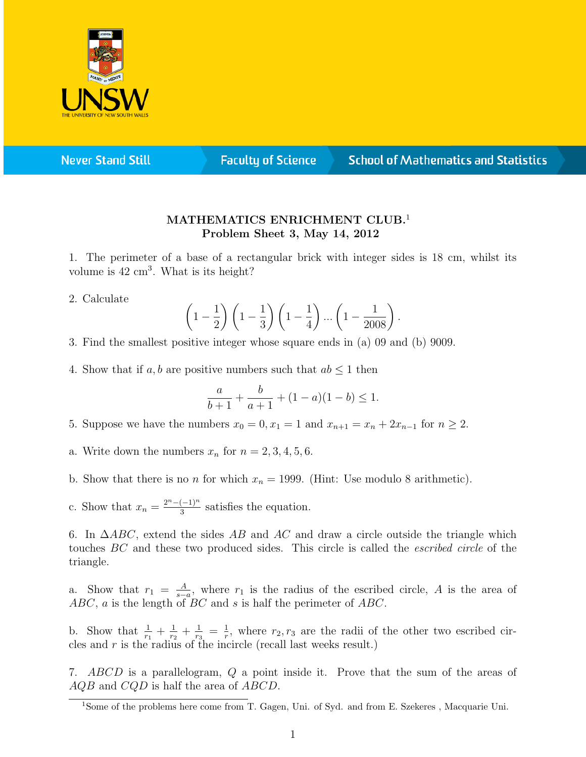

**Never Stand Still** 

**Faculty of Science** 

## **School of Mathematics and Statistics**

## MATHEMATICS ENRICHMENT CLUB.<sup>1</sup> Problem Sheet 3, May 14, 2012

1. The perimeter of a base of a rectangular brick with integer sides is 18 cm, whilst its volume is  $42 \text{ cm}^3$ . What is its height?

2. Calculate

$$
\left(1-\frac{1}{2}\right)\left(1-\frac{1}{3}\right)\left(1-\frac{1}{4}\right)\dots\left(1-\frac{1}{2008}\right).
$$

3. Find the smallest positive integer whose square ends in (a) 09 and (b) 9009.

4. Show that if a, b are positive numbers such that  $ab \leq 1$  then

$$
\frac{a}{b+1} + \frac{b}{a+1} + (1-a)(1-b) \le 1.
$$

- 5. Suppose we have the numbers  $x_0 = 0, x_1 = 1$  and  $x_{n+1} = x_n + 2x_{n-1}$  for  $n \ge 2$ .
- a. Write down the numbers  $x_n$  for  $n = 2, 3, 4, 5, 6$ .
- b. Show that there is no *n* for which  $x_n = 1999$ . (Hint: Use modulo 8 arithmetic).
- c. Show that  $x_n = \frac{2^n (-1)^n}{3}$  $\frac{(-1)^n}{3}$  satisfies the equation.

6. In  $\triangle ABC$ , extend the sides AB and AC and draw a circle outside the triangle which touches BC and these two produced sides. This circle is called the *escribed circle* of the triangle.

a. Show that  $r_1 = \frac{A}{s}$  $\frac{A}{s-a}$ , where  $r_1$  is the radius of the escribed circle, A is the area of  $ABC$ , a is the length of  $BC$  and s is half the perimeter of  $ABC$ .

b. Show that  $\frac{1}{r_1} + \frac{1}{r_2}$  $\frac{1}{r_2}+\frac{1}{r_3}$  $\frac{1}{r_3} = \frac{1}{r}$  $\frac{1}{r}$ , where  $r_2, r_3$  are the radii of the other two escribed circles and  $r$  is the radius of the incircle (recall last weeks result.)

7. ABCD is a parallelogram, Q a point inside it. Prove that the sum of the areas of  $AQB$  and  $CQD$  is half the area of  $ABCD$ .

<sup>&</sup>lt;sup>1</sup>Some of the problems here come from T. Gagen, Uni. of Syd. and from E. Szekeres, Macquarie Uni.